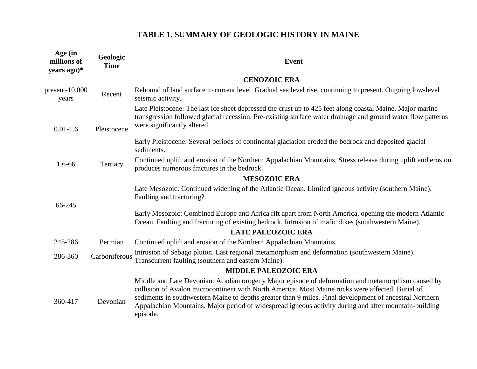| Age (in<br>millions of<br>years ago)* | Geologic<br><b>Time</b> | <b>Event</b>                                                                                                                                                                                                                                                                                                                                                                                                                          |
|---------------------------------------|-------------------------|---------------------------------------------------------------------------------------------------------------------------------------------------------------------------------------------------------------------------------------------------------------------------------------------------------------------------------------------------------------------------------------------------------------------------------------|
|                                       |                         | <b>CENOZOIC ERA</b>                                                                                                                                                                                                                                                                                                                                                                                                                   |
| $present-10,000$<br>years             | Recent                  | Rebound of land surface to current level. Gradual sea level rise, continuing to present. Ongoing low-level<br>seismic activity.                                                                                                                                                                                                                                                                                                       |
| $0.01 - 1.6$                          | Pleistocene             | Late Pleistocene: The last ice sheet depressed the crust up to 425 feet along coastal Maine. Major marine<br>transgression followed glacial recession. Pre-existing surface water drainage and ground water flow patterns<br>were significantly altered.                                                                                                                                                                              |
|                                       |                         | Early Pleistocene: Several periods of continental glaciation eroded the bedrock and deposited glacial<br>sediments.                                                                                                                                                                                                                                                                                                                   |
| 1.6-66                                | Tertiary                | Continued uplift and erosion of the Northern Appalachian Mountains. Stress release during uplift and erosion<br>produces numerous fractures in the bedrock.                                                                                                                                                                                                                                                                           |
|                                       |                         | <b>MESOZOIC ERA</b>                                                                                                                                                                                                                                                                                                                                                                                                                   |
|                                       |                         | Late Mesozoic: Continued widening of the Atlantic Ocean. Limited igneous activity (southern Maine).<br>Faulting and fracturing?                                                                                                                                                                                                                                                                                                       |
| 66-245                                |                         | Early Mesozoic: Combined Europe and Africa rift apart from North America, opening the modern Atlantic<br>Ocean. Faulting and fracturing of existing bedrock. Intrusion of mafic dikes (southwestern Maine).                                                                                                                                                                                                                           |
|                                       |                         | <b>LATE PALEOZOIC ERA</b>                                                                                                                                                                                                                                                                                                                                                                                                             |
| 245-286                               | Permian                 | Continued uplift and erosion of the Northern Appalachian Mountains.                                                                                                                                                                                                                                                                                                                                                                   |
| 286-360                               | Carboniferous           | Intrusion of Sebago pluton. Last regional metamorphism and deformation (southwestern Maine).<br>Transcurrent faulting (southern and eastern Maine).                                                                                                                                                                                                                                                                                   |
|                                       |                         | <b>MIDDLE PALEOZOIC ERA</b>                                                                                                                                                                                                                                                                                                                                                                                                           |
| 360-417                               | Devonian                | Middle and Late Devonian: Acadian orogeny Major episode of deformation and metamorphism caused by<br>collision of Avalon microcontinent with North America. Most Maine rocks were affected. Burial of<br>sediments in southwestern Maine to depths greater than 9 miles. Final development of ancestral Northern<br>Appalachian Mountains. Major period of widespread igneous activity during and after mountain-building<br>episode. |

## **TABLE 1. SUMMARY OF GEOLOGIC HISTORY IN MAINE**